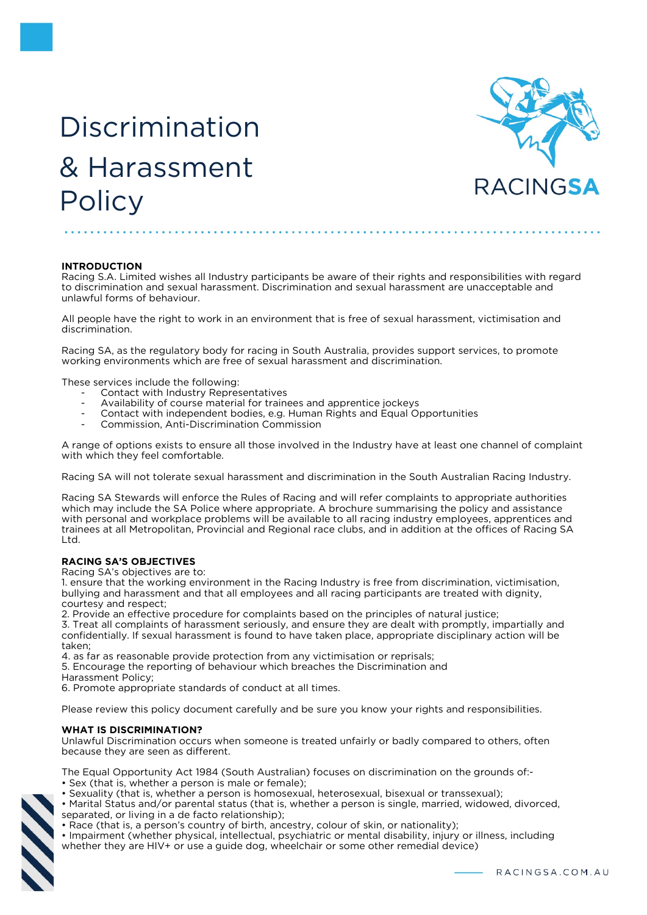# Discrimination & Harassment **Policy**



# **INTRODUCTION**

Racing S.A. Limited wishes all Industry participants be aware of their rights and responsibilities with regard to discrimination and sexual harassment. Discrimination and sexual harassment are unacceptable and unlawful forms of behaviour.

All people have the right to work in an environment that is free of sexual harassment, victimisation and discrimination.

Racing SA, as the regulatory body for racing in South Australia, provides support services, to promote working environments which are free of sexual harassment and discrimination.

These services include the following:

- Contact with Industry Representatives
- Availability of course material for trainees and apprentice jockeys
- Contact with independent bodies, e.g. Human Rights and Equal Opportunities
- Commission, Anti-Discrimination Commission

A range of options exists to ensure all those involved in the Industry have at least one channel of complaint with which they feel comfortable.

Racing SA will not tolerate sexual harassment and discrimination in the South Australian Racing Industry.

Racing SA Stewards will enforce the Rules of Racing and will refer complaints to appropriate authorities which may include the SA Police where appropriate. A brochure summarising the policy and assistance with personal and workplace problems will be available to all racing industry employees, apprentices and trainees at all Metropolitan, Provincial and Regional race clubs, and in addition at the offices of Racing SA Ltd.

#### **RACING SA'S OBJECTIVES**

Racing SA's objectives are to:

1. ensure that the working environment in the Racing Industry is free from discrimination, victimisation, bullying and harassment and that all employees and all racing participants are treated with dignity, courtesy and respect;

2. Provide an effective procedure for complaints based on the principles of natural justice;

3. Treat all complaints of harassment seriously, and ensure they are dealt with promptly, impartially and confidentially. If sexual harassment is found to have taken place, appropriate disciplinary action will be taken;

4. as far as reasonable provide protection from any victimisation or reprisals;

5. Encourage the reporting of behaviour which breaches the Discrimination and Harassment Policy;

6. Promote appropriate standards of conduct at all times.

Please review this policy document carefully and be sure you know your rights and responsibilities.

#### **WHAT IS DISCRIMINATION?**

Unlawful Discrimination occurs when someone is treated unfairly or badly compared to others, often because they are seen as different.

The Equal Opportunity Act 1984 (South Australian) focuses on discrimination on the grounds of:-

- Sex (that is, whether a person is male or female);
- Sexuality (that is, whether a person is homosexual, heterosexual, bisexual or transsexual);

• Marital Status and/or parental status (that is, whether a person is single, married, widowed, divorced, separated, or living in a de facto relationship);

- Race (that is, a person's country of birth, ancestry, colour of skin, or nationality);
- Impairment (whether physical, intellectual, psychiatric or mental disability, injury or illness, including whether they are HIV+ or use a guide dog, wheelchair or some other remedial device)

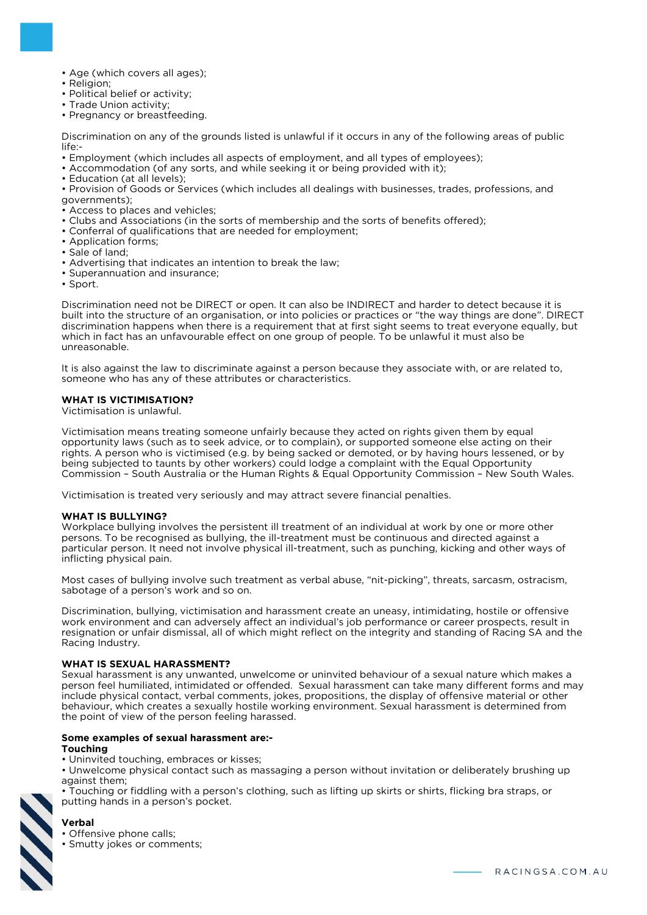- Age (which covers all ages);
- Religion;
- Political belief or activity;
- Trade Union activity;
- Pregnancy or breastfeeding.

Discrimination on any of the grounds listed is unlawful if it occurs in any of the following areas of public life:-

• Employment (which includes all aspects of employment, and all types of employees);

- Accommodation (of any sorts, and while seeking it or being provided with it);
- Education (at all levels);

• Provision of Goods or Services (which includes all dealings with businesses, trades, professions, and governments);

- Access to places and vehicles;
- Clubs and Associations (in the sorts of membership and the sorts of benefits offered);
- Conferral of qualifications that are needed for employment;
- Application forms;
- Sale of land;
- Advertising that indicates an intention to break the law;
- Superannuation and insurance;
- Sport.

Discrimination need not be DIRECT or open. It can also be INDIRECT and harder to detect because it is built into the structure of an organisation, or into policies or practices or "the way things are done". DIRECT discrimination happens when there is a requirement that at first sight seems to treat everyone equally, but which in fact has an unfavourable effect on one group of people. To be unlawful it must also be unreasonable.

It is also against the law to discriminate against a person because they associate with, or are related to, someone who has any of these attributes or characteristics.

#### **WHAT IS VICTIMISATION?**

Victimisation is unlawful.

Victimisation means treating someone unfairly because they acted on rights given them by equal opportunity laws (such as to seek advice, or to complain), or supported someone else acting on their rights. A person who is victimised (e.g. by being sacked or demoted, or by having hours lessened, or by being subjected to taunts by other workers) could lodge a complaint with the Equal Opportunity Commission – South Australia or the Human Rights & Equal Opportunity Commission – New South Wales.

Victimisation is treated very seriously and may attract severe financial penalties.

#### **WHAT IS BULLYING?**

Workplace bullying involves the persistent ill treatment of an individual at work by one or more other persons. To be recognised as bullying, the ill-treatment must be continuous and directed against a particular person. It need not involve physical ill-treatment, such as punching, kicking and other ways of inflicting physical pain.

Most cases of bullying involve such treatment as verbal abuse, "nit-picking", threats, sarcasm, ostracism, sabotage of a person's work and so on.

Discrimination, bullying, victimisation and harassment create an uneasy, intimidating, hostile or offensive work environment and can adversely affect an individual's job performance or career prospects, result in resignation or unfair dismissal, all of which might reflect on the integrity and standing of Racing SA and the Racing Industry.

#### **WHAT IS SEXUAL HARASSMENT?**

Sexual harassment is any unwanted, unwelcome or uninvited behaviour of a sexual nature which makes a person feel humiliated, intimidated or offended. Sexual harassment can take many different forms and may include physical contact, verbal comments, jokes, propositions, the display of offensive material or other behaviour, which creates a sexually hostile working environment. Sexual harassment is determined from the point of view of the person feeling harassed.

#### **Some examples of sexual harassment are:-**

#### **Touching**

- Uninvited touching, embraces or kisses;
- Unwelcome physical contact such as massaging a person without invitation or deliberately brushing up against them;
- Touching or fiddling with a person's clothing, such as lifting up skirts or shirts, flicking bra straps, or putting hands in a person's pocket.

# **Verbal**

• Offensive phone calls:

• Smutty jokes or comments;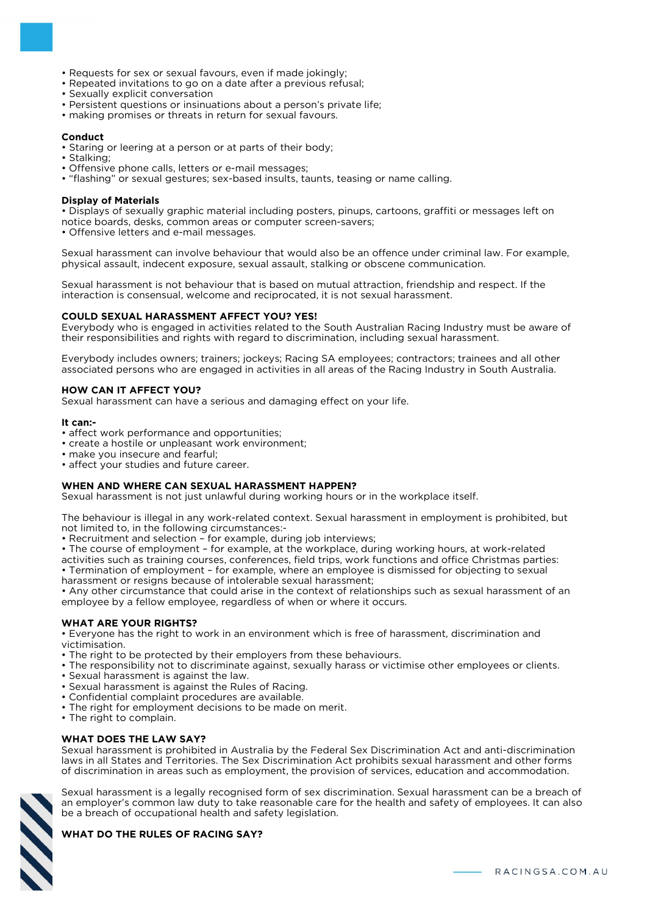- Requests for sex or sexual favours, even if made jokingly;
- Repeated invitations to go on a date after a previous refusal;
- Sexually explicit conversation
- Persistent questions or insinuations about a person's private life;
- making promises or threats in return for sexual favours.

#### **Conduct**

• Staring or leering at a person or at parts of their body;

- Stalking;
- Offensive phone calls, letters or e-mail messages;
- "flashing" or sexual gestures; sex-based insults, taunts, teasing or name calling.

#### **Display of Materials**

• Displays of sexually graphic material including posters, pinups, cartoons, graffiti or messages left on notice boards, desks, common areas or computer screen-savers;

• Offensive letters and e-mail messages.

Sexual harassment can involve behaviour that would also be an offence under criminal law. For example, physical assault, indecent exposure, sexual assault, stalking or obscene communication.

Sexual harassment is not behaviour that is based on mutual attraction, friendship and respect. If the interaction is consensual, welcome and reciprocated, it is not sexual harassment.

#### **COULD SEXUAL HARASSMENT AFFECT YOU? YES!**

Everybody who is engaged in activities related to the South Australian Racing Industry must be aware of their responsibilities and rights with regard to discrimination, including sexual harassment.

Everybody includes owners; trainers; jockeys; Racing SA employees; contractors; trainees and all other associated persons who are engaged in activities in all areas of the Racing Industry in South Australia.

# **HOW CAN IT AFFECT YOU?**

Sexual harassment can have a serious and damaging effect on your life.

#### **It can:-**

- affect work performance and opportunities;
- create a hostile or unpleasant work environment;
- make you insecure and fearful;
- affect your studies and future career.

#### **WHEN AND WHERE CAN SEXUAL HARASSMENT HAPPEN?**

Sexual harassment is not just unlawful during working hours or in the workplace itself.

The behaviour is illegal in any work-related context. Sexual harassment in employment is prohibited, but not limited to, in the following circumstances:-

• Recruitment and selection – for example, during job interviews;

• The course of employment – for example, at the workplace, during working hours, at work-related activities such as training courses, conferences, field trips, work functions and office Christmas parties: • Termination of employment – for example, where an employee is dismissed for objecting to sexual harassment or resigns because of intolerable sexual harassment;

• Any other circumstance that could arise in the context of relationships such as sexual harassment of an employee by a fellow employee, regardless of when or where it occurs.

#### **WHAT ARE YOUR RIGHTS?**

• Everyone has the right to work in an environment which is free of harassment, discrimination and victimisation.

- The right to be protected by their employers from these behaviours.
- The responsibility not to discriminate against, sexually harass or victimise other employees or clients.
- Sexual harassment is against the law.
- Sexual harassment is against the Rules of Racing.
- Confidential complaint procedures are available.
- The right for employment decisions to be made on merit.
- The right to complain.

# **WHAT DOES THE LAW SAY?**

Sexual harassment is prohibited in Australia by the Federal Sex Discrimination Act and anti-discrimination laws in all States and Territories. The Sex Discrimination Act prohibits sexual harassment and other forms of discrimination in areas such as employment, the provision of services, education and accommodation.

Sexual harassment is a legally recognised form of sex discrimination. Sexual harassment can be a breach of an employer's common law duty to take reasonable care for the health and safety of employees. It can also be a breach of occupational health and safety legislation.

# **WHAT DO THE RULES OF RACING SAY?**

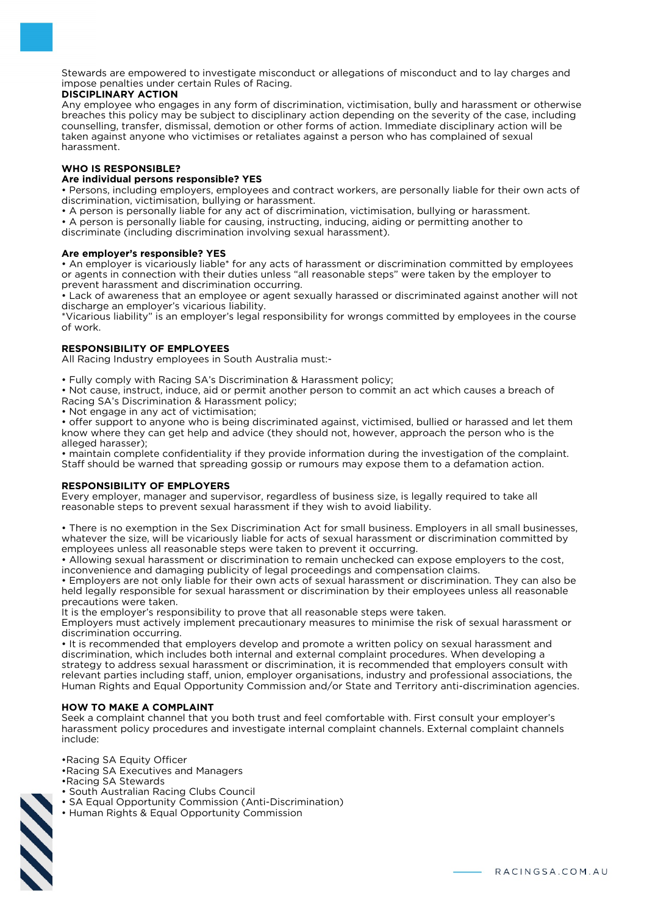Stewards are empowered to investigate misconduct or allegations of misconduct and to lay charges and impose penalties under certain Rules of Racing.

# **DISCIPLINARY ACTION**

Any employee who engages in any form of discrimination, victimisation, bully and harassment or otherwise breaches this policy may be subject to disciplinary action depending on the severity of the case, including counselling, transfer, dismissal, demotion or other forms of action. Immediate disciplinary action will be taken against anyone who victimises or retaliates against a person who has complained of sexual harassment.

# **WHO IS RESPONSIBLE?**

# **Are individual persons responsible? YES**

• Persons, including employers, employees and contract workers, are personally liable for their own acts of discrimination, victimisation, bullying or harassment.

• A person is personally liable for any act of discrimination, victimisation, bullying or harassment.

• A person is personally liable for causing, instructing, inducing, aiding or permitting another to

discriminate (including discrimination involving sexual harassment).

# **Are employer's responsible? YES**

• An employer is vicariously liable\* for any acts of harassment or discrimination committed by employees or agents in connection with their duties unless "all reasonable steps" were taken by the employer to prevent harassment and discrimination occurring.

• Lack of awareness that an employee or agent sexually harassed or discriminated against another will not discharge an employer's vicarious liability.

\*Vicarious liability" is an employer's legal responsibility for wrongs committed by employees in the course of work.

# **RESPONSIBILITY OF EMPLOYEES**

All Racing Industry employees in South Australia must:-

• Fully comply with Racing SA's Discrimination & Harassment policy;

• Not cause, instruct, induce, aid or permit another person to commit an act which causes a breach of Racing SA's Discrimination & Harassment policy;

• Not engage in any act of victimisation;

• offer support to anyone who is being discriminated against, victimised, bullied or harassed and let them know where they can get help and advice (they should not, however, approach the person who is the alleged harasser);

• maintain complete confidentiality if they provide information during the investigation of the complaint. Staff should be warned that spreading gossip or rumours may expose them to a defamation action.

# **RESPONSIBILITY OF EMPLOYERS**

Every employer, manager and supervisor, regardless of business size, is legally required to take all reasonable steps to prevent sexual harassment if they wish to avoid liability.

• There is no exemption in the Sex Discrimination Act for small business. Employers in all small businesses, whatever the size, will be vicariously liable for acts of sexual harassment or discrimination committed by employees unless all reasonable steps were taken to prevent it occurring.

• Allowing sexual harassment or discrimination to remain unchecked can expose employers to the cost, inconvenience and damaging publicity of legal proceedings and compensation claims.

• Employers are not only liable for their own acts of sexual harassment or discrimination. They can also be held legally responsible for sexual harassment or discrimination by their employees unless all reasonable precautions were taken.

It is the employer's responsibility to prove that all reasonable steps were taken.

Employers must actively implement precautionary measures to minimise the risk of sexual harassment or discrimination occurring.

• It is recommended that employers develop and promote a written policy on sexual harassment and discrimination, which includes both internal and external complaint procedures. When developing a strategy to address sexual harassment or discrimination, it is recommended that employers consult with relevant parties including staff, union, employer organisations, industry and professional associations, the Human Rights and Equal Opportunity Commission and/or State and Territory anti-discrimination agencies.

# **HOW TO MAKE A COMPLAINT**

Seek a complaint channel that you both trust and feel comfortable with. First consult your employer's harassment policy procedures and investigate internal complaint channels. External complaint channels include:

•Racing SA Equity Officer

- •Racing SA Executives and Managers
- •Racing SA Stewards
- South Australian Racing Clubs Council
- SA Equal Opportunity Commission (Anti-Discrimination)
- Human Rights & Equal Opportunity Commission